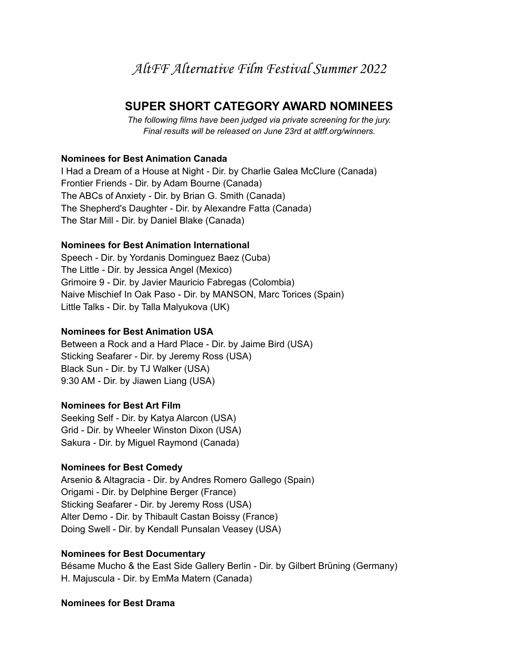# **SUPER SHORT CATEGORY AWARD NOMINEES**

*The following films have been judged via private screening for the jury. Final results will be released on June 23rd at altff.org/winners.*

## **Nominees for Best Animation Canada**

I Had a Dream of a House at Night - Dir. by Charlie Galea McClure (Canada) Frontier Friends - Dir. by Adam Bourne (Canada) The ABCs of Anxiety - Dir. by Brian G. Smith (Canada) The Shepherd's Daughter - Dir. by Alexandre Fatta (Canada) The Star Mill - Dir. by Daniel Blake (Canada)

## **Nominees for Best Animation International**

Speech - Dir. by Yordanis Dominguez Baez (Cuba) The Little - Dir. by Jessica Angel (Mexico) Grimoire 9 - Dir. by Javier Mauricio Fabregas (Colombia) Naive Mischief In Oak Paso - Dir. by MANSON, Marc Torices (Spain) Little Talks - Dir. by Talla Malyukova (UK)

## **Nominees for Best Animation USA**

Between a Rock and a Hard Place - Dir. by Jaime Bird (USA) Sticking Seafarer - Dir. by Jeremy Ross (USA) Black Sun - Dir. by TJ Walker (USA) 9:30 AM - Dir. by Jiawen Liang (USA)

## **Nominees for Best Art Film**

Seeking Self - Dir. by Katya Alarcon (USA) Grid - Dir. by Wheeler Winston Dixon (USA) Sakura - Dir. by Miguel Raymond (Canada)

## **Nominees for Best Comedy**

Arsenio & Altagracia - Dir. by Andres Romero Gallego (Spain) Origami - Dir. by Delphine Berger (France) Sticking Seafarer - Dir. by Jeremy Ross (USA) Alter Demo - Dir. by Thibault Castan Boissy (France) Doing Swell - Dir. by Kendall Punsalan Veasey (USA)

## **Nominees for Best Documentary**

Bésame Mucho & the East Side Gallery Berlin - Dir. by Gilbert Brüning (Germany) H. Majuscula - Dir. by EmMa Matern (Canada)

**Nominees for Best Drama**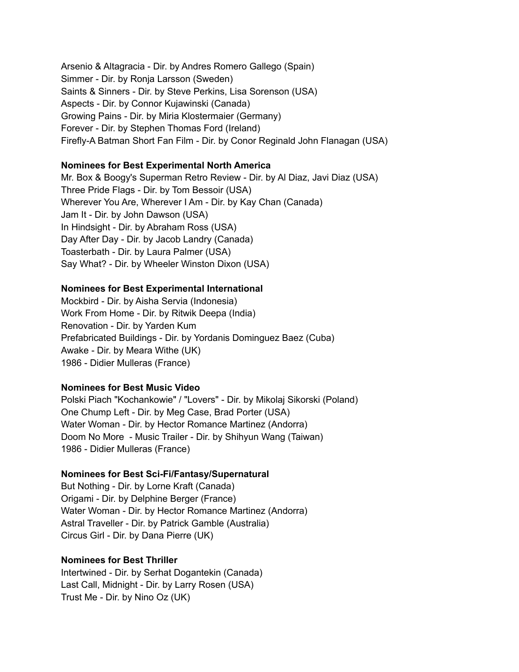Arsenio & Altagracia - Dir. by Andres Romero Gallego (Spain) Simmer - Dir. by Ronja Larsson (Sweden) Saints & Sinners - Dir. by Steve Perkins, Lisa Sorenson (USA) Aspects - Dir. by Connor Kujawinski (Canada) Growing Pains - Dir. by Miria Klostermaier (Germany) Forever - Dir. by Stephen Thomas Ford (Ireland) Firefly-A Batman Short Fan Film - Dir. by Conor Reginald John Flanagan (USA)

#### **Nominees for Best Experimental North America**

Mr. Box & Boogy's Superman Retro Review - Dir. by Al Diaz, Javi Diaz (USA) Three Pride Flags - Dir. by Tom Bessoir (USA) Wherever You Are, Wherever I Am - Dir. by Kay Chan (Canada) Jam It - Dir. by John Dawson (USA) In Hindsight - Dir. by Abraham Ross (USA) Day After Day - Dir. by Jacob Landry (Canada) Toasterbath - Dir. by Laura Palmer (USA) Say What? - Dir. by Wheeler Winston Dixon (USA)

#### **Nominees for Best Experimental International**

Mockbird - Dir. by Aisha Servia (Indonesia) Work From Home - Dir. by Ritwik Deepa (India) Renovation - Dir. by Yarden Kum Prefabricated Buildings - Dir. by Yordanis Dominguez Baez (Cuba) Awake - Dir. by Meara Withe (UK) 1986 - Didier Mulleras (France)

#### **Nominees for Best Music Video**

Polski Piach "Kochankowie" / "Lovers" - Dir. by Mikolaj Sikorski (Poland) One Chump Left - Dir. by Meg Case, Brad Porter (USA) Water Woman - Dir. by Hector Romance Martinez (Andorra) Doom No More - Music Trailer - Dir. by Shihyun Wang (Taiwan) 1986 - Didier Mulleras (France)

#### **Nominees for Best Sci-Fi/Fantasy/Supernatural**

But Nothing - Dir. by Lorne Kraft (Canada) Origami - Dir. by Delphine Berger (France) Water Woman - Dir. by Hector Romance Martinez (Andorra) Astral Traveller - Dir. by Patrick Gamble (Australia) Circus Girl - Dir. by Dana Pierre (UK)

#### **Nominees for Best Thriller**

Intertwined - Dir. by Serhat Dogantekin (Canada) Last Call, Midnight - Dir. by Larry Rosen (USA) Trust Me - Dir. by Nino Oz (UK)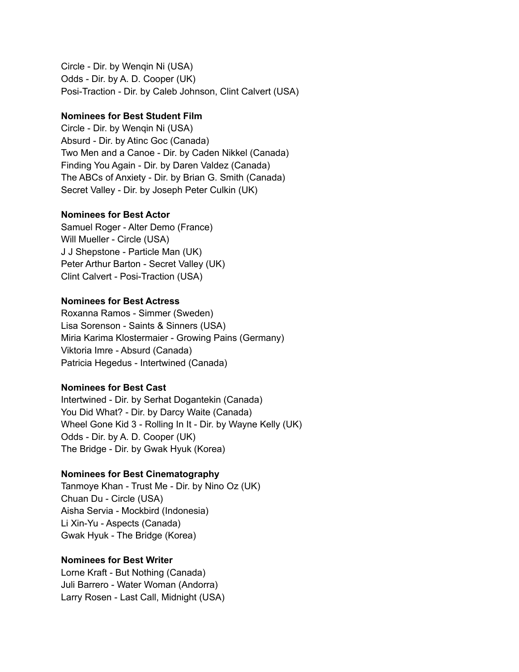Circle - Dir. by Wenqin Ni (USA) Odds - Dir. by A. D. Cooper (UK) Posi-Traction - Dir. by Caleb Johnson, Clint Calvert (USA)

## **Nominees for Best Student Film**

Circle - Dir. by Wenqin Ni (USA) Absurd - Dir. by Atinc Goc (Canada) Two Men and a Canoe - Dir. by Caden Nikkel (Canada) Finding You Again - Dir. by Daren Valdez (Canada) The ABCs of Anxiety - Dir. by Brian G. Smith (Canada) Secret Valley - Dir. by Joseph Peter Culkin (UK)

### **Nominees for Best Actor**

Samuel Roger - Alter Demo (France) Will Mueller - Circle (USA) J J Shepstone - Particle Man (UK) Peter Arthur Barton - Secret Valley (UK) Clint Calvert - Posi-Traction (USA)

## **Nominees for Best Actress**

Roxanna Ramos - Simmer (Sweden) Lisa Sorenson - Saints & Sinners (USA) Miria Karima Klostermaier - Growing Pains (Germany) Viktoria Imre - Absurd (Canada) Patricia Hegedus - Intertwined (Canada)

## **Nominees for Best Cast**

Intertwined - Dir. by Serhat Dogantekin (Canada) You Did What? - Dir. by Darcy Waite (Canada) Wheel Gone Kid 3 - Rolling In It - Dir. by Wayne Kelly (UK) Odds - Dir. by A. D. Cooper (UK) The Bridge - Dir. by Gwak Hyuk (Korea)

## **Nominees for Best Cinematography**

Tanmoye Khan - Trust Me - Dir. by Nino Oz (UK) Chuan Du - Circle (USA) Aisha Servia - Mockbird (Indonesia) Li Xin-Yu - Aspects (Canada) Gwak Hyuk - The Bridge (Korea)

## **Nominees for Best Writer**

Lorne Kraft - But Nothing (Canada) Juli Barrero - Water Woman (Andorra) Larry Rosen - Last Call, Midnight (USA)